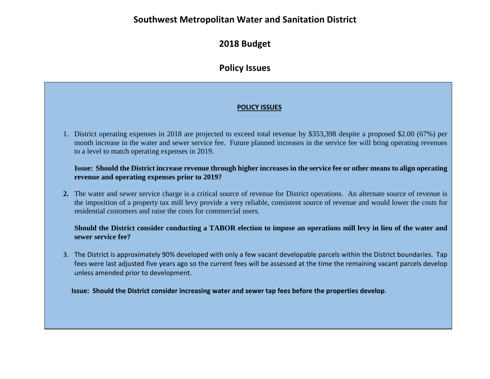## **Southwest Metropolitan Water and Sanitation District**

## **2018 Budget**

# **Policy Issues**

### **POLICY ISSUES**

1. District operating expenses in 2018 are projected to exceed total revenue by \$353,398 despite a proposed \$2.00 (67%) per month increase in the water and sewer service fee. Future planned increases in the service fee will bring operating revenues to a level to match operating expenses in 2019.

#### **Issue: Should the District increase revenue through higher increases in the service fee or other means to align operating revenue and operating expenses prior to 2019?**

**2.** The water and sewer service charge is a critical source of revenue for District operations. An alternate source of revenue is the imposition of a property tax mill levy provide a very reliable, consistent source of revenue and would lower the costs for residential customers and raise the costs for commercial users.

#### **Should the District consider conducting a TABOR election to impose an operations mill levy in lieu of the water and sewer service fee?**

3. The District is approximately 90% developed with only a few vacant developable parcels within the District boundaries. Tap fees were last adjusted five years ago so the current fees will be assessed at the time the remaining vacant parcels develop unless amended prior to development.

**Issue: Should the District consider increasing water and sewer tap fees before the properties develop**.